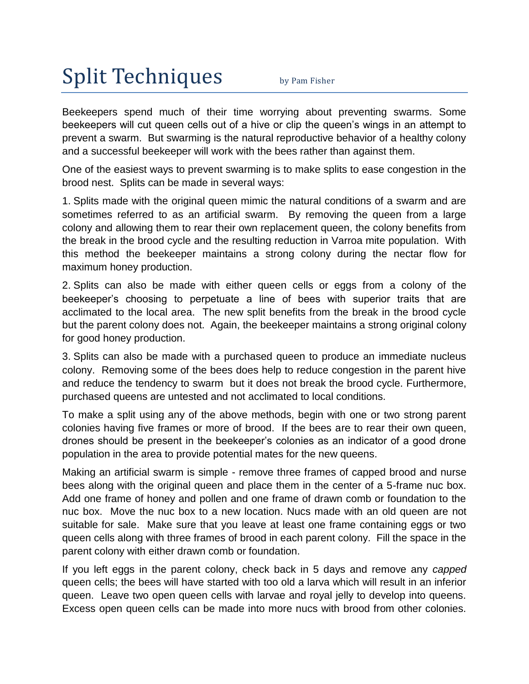## Split Techniques by Pam Fisher

Beekeepers spend much of their time worrying about preventing swarms. Some beekeepers will cut queen cells out of a hive or clip the queen's wings in an attempt to prevent a swarm. But swarming is the natural reproductive behavior of a healthy colony and a successful beekeeper will work with the bees rather than against them.

One of the easiest ways to prevent swarming is to make splits to ease congestion in the brood nest. Splits can be made in several ways:

1. Splits made with the original queen mimic the natural conditions of a swarm and are sometimes referred to as an artificial swarm. By removing the queen from a large colony and allowing them to rear their own replacement queen, the colony benefits from the break in the brood cycle and the resulting reduction in Varroa mite population. With this method the beekeeper maintains a strong colony during the nectar flow for maximum honey production.

2. Splits can also be made with either queen cells or eggs from a colony of the beekeeper's choosing to perpetuate a line of bees with superior traits that are acclimated to the local area. The new split benefits from the break in the brood cycle but the parent colony does not. Again, the beekeeper maintains a strong original colony for good honey production.

3. Splits can also be made with a purchased queen to produce an immediate nucleus colony. Removing some of the bees does help to reduce congestion in the parent hive and reduce the tendency to swarm but it does not break the brood cycle. Furthermore, purchased queens are untested and not acclimated to local conditions.

To make a split using any of the above methods, begin with one or two strong parent colonies having five frames or more of brood. If the bees are to rear their own queen, drones should be present in the beekeeper's colonies as an indicator of a good drone population in the area to provide potential mates for the new queens.

Making an artificial swarm is simple - remove three frames of capped brood and nurse bees along with the original queen and place them in the center of a 5-frame nuc box. Add one frame of honey and pollen and one frame of drawn comb or foundation to the nuc box. Move the nuc box to a new location. Nucs made with an old queen are not suitable for sale. Make sure that you leave at least one frame containing eggs or two queen cells along with three frames of brood in each parent colony. Fill the space in the parent colony with either drawn comb or foundation.

If you left eggs in the parent colony, check back in 5 days and remove any *capped* queen cells; the bees will have started with too old a larva which will result in an inferior queen. Leave two open queen cells with larvae and royal jelly to develop into queens. Excess open queen cells can be made into more nucs with brood from other colonies.